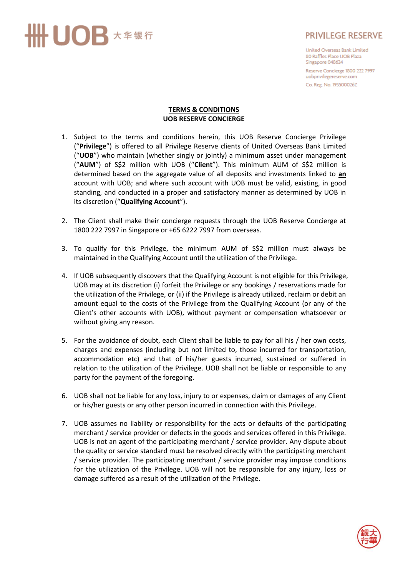## ·UOB \* \* \* \*

## **PRIVILEGE RESERVE**

United Overseas Bank Limited 80 Raffles Place UOB Plaza Singapore 048624

Reserve Concierge 1800 222 7997 uobprivilegereserve.com Co. Reg. No. 193500026Z

## **TERMS & CONDITIONS UOB RESERVE CONCIERGE**

- 1. Subject to the terms and conditions herein, this UOB Reserve Concierge Privilege ("**Privilege**") is offered to all Privilege Reserve clients of United Overseas Bank Limited ("**UOB**") who maintain (whether singly or jointly) a minimum asset under management ("**AUM**") of S\$2 million with UOB ("**Client**"). This minimum AUM of S\$2 million is determined based on the aggregate value of all deposits and investments linked to **an** account with UOB; and where such account with UOB must be valid, existing, in good standing, and conducted in a proper and satisfactory manner as determined by UOB in its discretion ("**Qualifying Account**").
- 2. The Client shall make their concierge requests through the UOB Reserve Concierge at 1800 222 7997 in Singapore or +65 6222 7997 from overseas.
- 3. To qualify for this Privilege, the minimum AUM of S\$2 million must always be maintained in the Qualifying Account until the utilization of the Privilege.
- 4. If UOB subsequently discovers that the Qualifying Account is not eligible for this Privilege, UOB may at its discretion (i) forfeit the Privilege or any bookings / reservations made for the utilization of the Privilege, or (ii) if the Privilege is already utilized, reclaim or debit an amount equal to the costs of the Privilege from the Qualifying Account (or any of the Client's other accounts with UOB), without payment or compensation whatsoever or without giving any reason.
- 5. For the avoidance of doubt, each Client shall be liable to pay for all his / her own costs, charges and expenses (including but not limited to, those incurred for transportation, accommodation etc) and that of his/her guests incurred, sustained or suffered in relation to the utilization of the Privilege. UOB shall not be liable or responsible to any party for the payment of the foregoing.
- 6. UOB shall not be liable for any loss, injury to or expenses, claim or damages of any Client or his/her guests or any other person incurred in connection with this Privilege.
- 7. UOB assumes no liability or responsibility for the acts or defaults of the participating merchant / service provider or defects in the goods and services offered in this Privilege. UOB is not an agent of the participating merchant / service provider. Any dispute about the quality or service standard must be resolved directly with the participating merchant / service provider. The participating merchant / service provider may impose conditions for the utilization of the Privilege. UOB will not be responsible for any injury, loss or damage suffered as a result of the utilization of the Privilege.